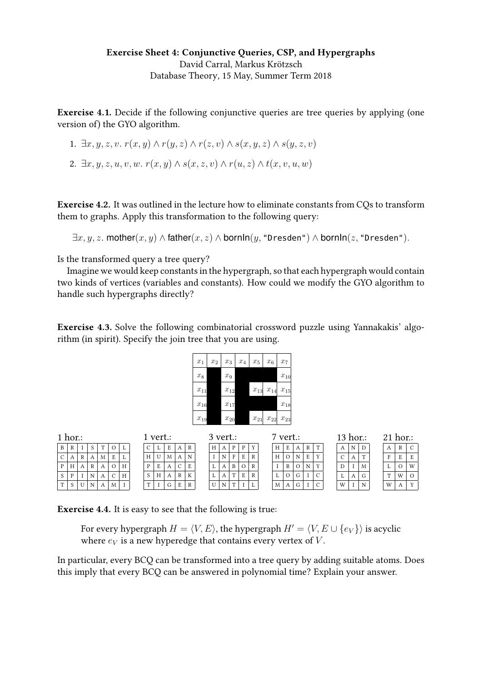## Exercise Sheet 4: Conjunctive Queries, CSP, and Hypergraphs David Carral, Markus Krötzsch [Database Theory,](https://iccl.inf.tu-dresden.de/web/Database_Theory_(SS2018)) 15 May, Summer Term 2018

Exercise 4.1. Decide if the following conjunctive queries are tree queries by applying (one version of) the GYO algorithm.

1. 
$$
\exists x, y, z, v. r(x, y) \land r(y, z) \land r(z, v) \land s(x, y, z) \land s(y, z, v)
$$

2.  $\exists x, y, z, u, v, w.$   $r(x, y) \wedge s(x, z, v) \wedge r(u, z) \wedge t(x, v, u, w)$ 

Exercise 4.2. It was outlined in the lecture how to eliminate constants from CQs to transform them to graphs. Apply this transformation to the following query:

 $\exists x, y, z.$  mother $(x, y) \wedge \mathsf{father}(x, z) \wedge \mathsf{bornIn}(y, \mathsf{''Dresden''}) \wedge \mathsf{bornIn}(z, \mathsf{''Dresden''}).$ 

Is the transformed query a tree query?

Imagine we would keep constants in the hypergraph, so that each hypergraph would contain two kinds of vertices (variables and constants). How could we modify the GYO algorithm to handle such hypergraphs directly?

Exercise 4.3. Solve the following combinatorial crossword puzzle using Yannakakis' algorithm (in spirit). Specify the join tree that you are using.

| $x_1$                 | $x_2$ | $\boldsymbol{x}_3$    | $x_4$ | $x_5$    | $x_6$                 | $\boldsymbol{x}_7$ |
|-----------------------|-------|-----------------------|-------|----------|-----------------------|--------------------|
| $x_8$                 |       | $x_9$                 |       |          |                       | $x_{10}$           |
| $\boldsymbol{x}_{11}$ |       | $x_{12}$              |       | $x_{13}$ | $x_{14}$              | $x_{15}$           |
| $x_{16}$              |       | $x_{17}$              |       |          |                       | $x_{18}$           |
| $x_{19}$              |       | $\boldsymbol{x}_{20}$ |       | $x_{21}$ | $\boldsymbol{x}_{22}$ | $x_{23}$           |

|   | $1$ hor.: |   |    |   |    |   | 1 vert.:     |   |   |                    |   | 7 vert.:<br>$3$ vert.: |   |   |   |          | $13$ hor.: |  |   |   |    |                | $21$ hor.: |   |   |   |  |              |          |              |
|---|-----------|---|----|---|----|---|--------------|---|---|--------------------|---|------------------------|---|---|---|----------|------------|--|---|---|----|----------------|------------|---|---|---|--|--------------|----------|--------------|
| B | R         |   | -S |   |    |   |              |   | E | A                  | R |                        | H |   | P | D        |            |  | H | E | A  | R <sub>1</sub> |            |   | N |   |  |              | R        |              |
|   |           | R |    | M | E. |   | H            | U | M |                    | N |                        |   | N | F | E        |            |  | H |   |    | E.             |            | C | А |   |  | $\mathbf{F}$ | E        |              |
|   | H         | А | R  |   |    | H | D            | E | А | $\curvearrowright$ | E |                        |   |   | B | $\Omega$ |            |  |   |   |    |                |            | D |   | M |  |              | $\Omega$ | W            |
| S |           |   | N  |   | C. | H |              | H | A | $\mathbb{R}$       | К |                        |   |   |   | F        |            |  |   |   | G. |                |            |   | А |   |  | $\mathbf{r}$ | W        |              |
| T |           |   | N  |   | M  |   | $\mathbf{r}$ |   | G | E                  | R |                        | U | N |   |          |            |  | M | A | G  |                | $\cap$     | W |   | N |  | W            |          | $\mathbf{v}$ |

Exercise 4.4. It is easy to see that the following is true:

For every hypergraph  $H = \langle V, E \rangle$ , the hypergraph  $H' = \langle V, E \cup \{e_V\} \rangle$  is acyclic where  $e_V$  is a new hyperedge that contains every vertex of V.

In particular, every BCQ can be transformed into a tree query by adding suitable atoms. Does this imply that every BCQ can be answered in polynomial time? Explain your answer.